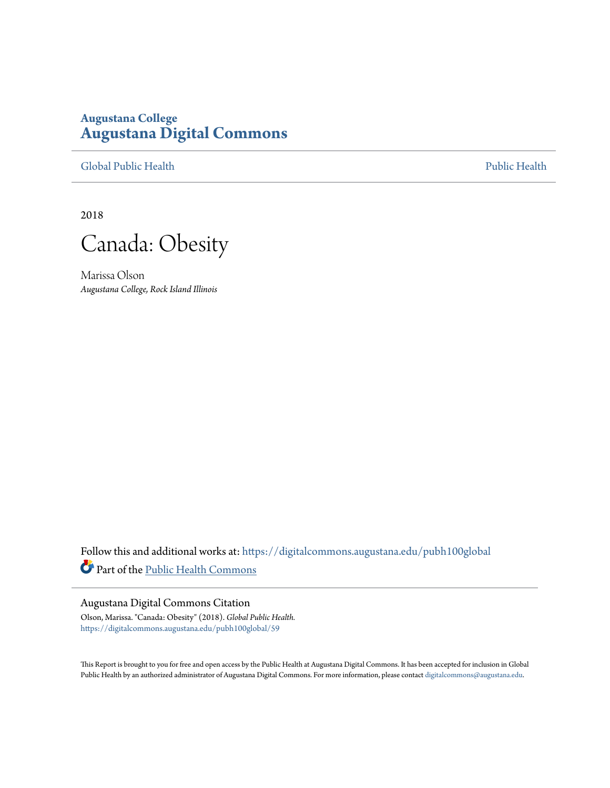## **Augustana College [Augustana Digital Commons](https://digitalcommons.augustana.edu?utm_source=digitalcommons.augustana.edu%2Fpubh100global%2F59&utm_medium=PDF&utm_campaign=PDFCoverPages)**

[Global Public Health](https://digitalcommons.augustana.edu/pubh100global?utm_source=digitalcommons.augustana.edu%2Fpubh100global%2F59&utm_medium=PDF&utm_campaign=PDFCoverPages) [Public Health](https://digitalcommons.augustana.edu/publichealth?utm_source=digitalcommons.augustana.edu%2Fpubh100global%2F59&utm_medium=PDF&utm_campaign=PDFCoverPages)

2018

Canada: Obesity

Marissa Olson *Augustana College, Rock Island Illinois*

Follow this and additional works at: [https://digitalcommons.augustana.edu/pubh100global](https://digitalcommons.augustana.edu/pubh100global?utm_source=digitalcommons.augustana.edu%2Fpubh100global%2F59&utm_medium=PDF&utm_campaign=PDFCoverPages) Part of the [Public Health Commons](http://network.bepress.com/hgg/discipline/738?utm_source=digitalcommons.augustana.edu%2Fpubh100global%2F59&utm_medium=PDF&utm_campaign=PDFCoverPages)

## Augustana Digital Commons Citation

Olson, Marissa. "Canada: Obesity" (2018). *Global Public Health.* [https://digitalcommons.augustana.edu/pubh100global/59](https://digitalcommons.augustana.edu/pubh100global/59?utm_source=digitalcommons.augustana.edu%2Fpubh100global%2F59&utm_medium=PDF&utm_campaign=PDFCoverPages)

This Report is brought to you for free and open access by the Public Health at Augustana Digital Commons. It has been accepted for inclusion in Global Public Health by an authorized administrator of Augustana Digital Commons. For more information, please contact [digitalcommons@augustana.edu.](mailto:digitalcommons@augustana.edu)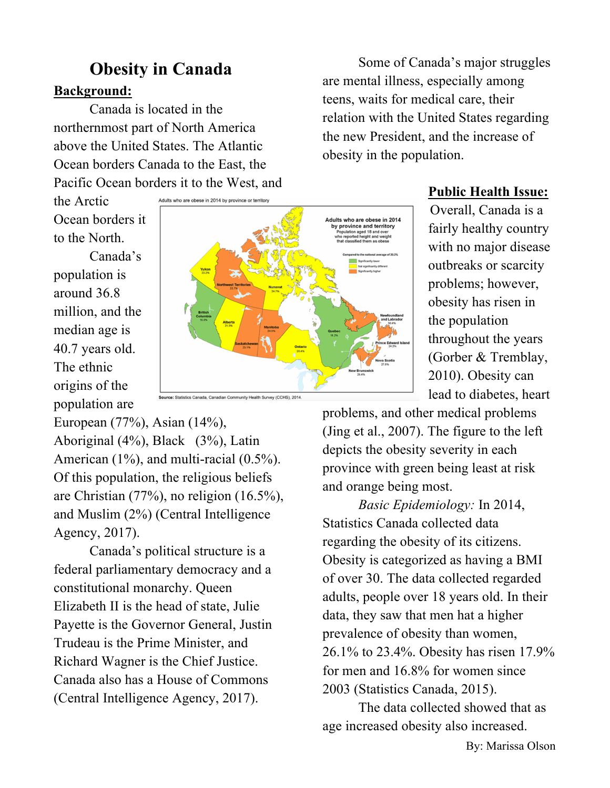## **Background: Obesity in Canada**

Canada is located in the northernmost part of North America above the United States. The Atlantic Ocean borders Canada to the East, the Pacific Ocean borders it to the West, and

the Arctic Ocean borders it to the North.

Canada's population is around 36.8 million, and the median age is 40.7 years old. The ethnic origins of the population are



**Public Health Issue:**

Some of Canada's major struggles

are mental illness, especially among teens, waits for medical care, their

obesity in the population.

relation with the United States regarding the new President, and the increase of

> Overall, Canada is a fairly healthy country with no major disease outbreaks or scarcity problems; however, obesity has risen in the population throughout the years (Gorber & Tremblay, 2010). Obesity can lead to diabetes, heart

European (77%), Asian (14%), Aboriginal (4%), Black (3%), Latin American (1%), and multi-racial (0.5%). Of this population, the religious beliefs are Christian (77%), no religion (16.5%), and Muslim (2%) (Central Intelligence Agency, 2017).

Canada's political structure is a federal parliamentary democracy and a constitutional monarchy. Queen Elizabeth II is the head of state, Julie Payette is the Governor General, Justin Trudeau is the Prime Minister, and Richard Wagner is the Chief Justice. Canada also has a House of Commons (Central Intelligence Agency, 2017).

problems, and other medical problems (Jing et al., 2007). The figure to the left depicts the obesity severity in each province with green being least at risk and orange being most.

*Basic Epidemiology:* In 2014, Statistics Canada collected data regarding the obesity of its citizens. Obesity is categorized as having a BMI of over 30. The data collected regarded adults, people over 18 years old. In their data, they saw that men hat a higher prevalence of obesity than women, 26.1% to 23.4%. Obesity has risen 17.9% for men and 16.8% for women since 2003 (Statistics Canada, 2015).

The data collected showed that as age increased obesity also increased.